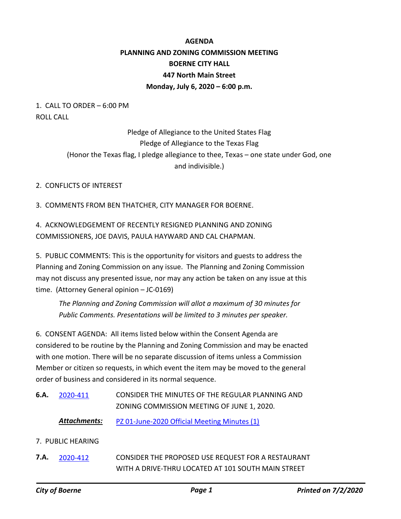# **AGENDA PLANNING AND ZONING COMMISSION MEETING BOERNE CITY HALL 447 North Main Street Monday, July 6, 2020 – 6:00 p.m.**

### 1. CALL TO ORDER – 6:00 PM ROLL CALL

## Pledge of Allegiance to the United States Flag Pledge of Allegiance to the Texas Flag (Honor the Texas flag, I pledge allegiance to thee, Texas – one state under God, one and indivisible.)

### 2. CONFLICTS OF INTEREST

3. COMMENTS FROM BEN THATCHER, CITY MANAGER FOR BOERNE.

## 4. ACKNOWLEDGEMENT OF RECENTLY RESIGNED PLANNING AND ZONING COMMISSIONERS, JOE DAVIS, PAULA HAYWARD AND CAL CHAPMAN.

5. PUBLIC COMMENTS: This is the opportunity for visitors and guests to address the Planning and Zoning Commission on any issue. The Planning and Zoning Commission may not discuss any presented issue, nor may any action be taken on any issue at this time. (Attorney General opinion – JC-0169)

*The Planning and Zoning Commission will allot a maximum of 30 minutes for Public Comments. Presentations will be limited to 3 minutes per speaker.*

6. CONSENT AGENDA: All items listed below within the Consent Agenda are considered to be routine by the Planning and Zoning Commission and may be enacted with one motion. There will be no separate discussion of items unless a Commission Member or citizen so requests, in which event the item may be moved to the general order of business and considered in its normal sequence.

- CONSIDER THE MINUTES OF THE REGULAR PLANNING AND ZONING COMMISSION MEETING OF JUNE 1, 2020. **6.A.** [2020-411](http://boerne.legistar.com/gateway.aspx?m=l&id=/matter.aspx?key=5330)
	- Attachments: [PZ 01-June-2020 Official Meeting Minutes \(1\)](http://boerne.legistar.com/gateway.aspx?M=F&ID=076d07c2-656a-49a8-bea5-c4219ffe78da.pdf)

### 7. PUBLIC HEARING

CONSIDER THE PROPOSED USE REQUEST FOR A RESTAURANT WITH A DRIVE-THRU LOCATED AT 101 SOUTH MAIN STREET **7.A.** [2020-412](http://boerne.legistar.com/gateway.aspx?m=l&id=/matter.aspx?key=5331)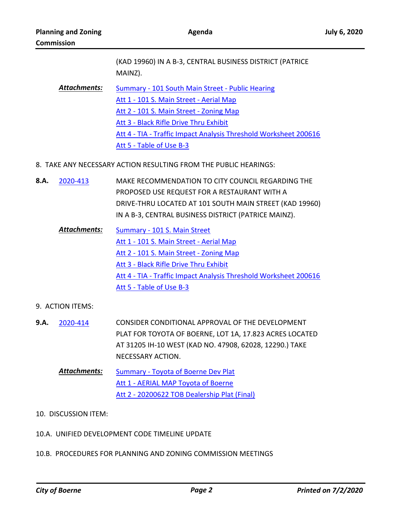|              | (KAD 19960) IN A B-3, CENTRAL BUSINESS DISTRICT (PATRICE<br>MAINZ). |
|--------------|---------------------------------------------------------------------|
| Attachments: | Summary - 101 South Main Street - Public Hearing                    |
|              | Att 1 - 101 S. Main Street - Aerial Map                             |
|              | Att 2 - 101 S. Main Street - Zoning Map                             |
|              | Att 3 - Black Rifle Drive Thru Exhibit                              |
|              | Att 4 - TIA - Traffic Impact Analysis Threshold Worksheet 200616    |
|              | Att 5 - Table of Use B-3                                            |

- 8. TAKE ANY NECESSARY ACTION RESULTING FROM THE PUBLIC HEARINGS:
- MAKE RECOMMENDATION TO CITY COUNCIL REGARDING THE PROPOSED USE REQUEST FOR A RESTAURANT WITH A DRIVE-THRU LOCATED AT 101 SOUTH MAIN STREET (KAD 19960) IN A B-3, CENTRAL BUSINESS DISTRICT (PATRICE MAINZ). **8.A.** [2020-413](http://boerne.legistar.com/gateway.aspx?m=l&id=/matter.aspx?key=5332)
	- [Summary 101 S. Main Street](http://boerne.legistar.com/gateway.aspx?M=F&ID=fb20a8a0-22ce-416c-95d1-7fb56ea7ead0.doc) [Att 1 - 101 S. Main Street - Aerial Map](http://boerne.legistar.com/gateway.aspx?M=F&ID=5cb132ca-6162-4602-891b-b8e21d4c39e2.jpg) [Att 2 - 101 S. Main Street - Zoning Map](http://boerne.legistar.com/gateway.aspx?M=F&ID=3e6ebace-0e4f-4866-a092-b55f94f4bda6.jpg) [Att 3 - Black Rifle Drive Thru Exhibit](http://boerne.legistar.com/gateway.aspx?M=F&ID=dc7b83e7-4d24-4f7d-a5f0-f8c3ecdbbbdc.pdf) [Att 4 - TIA - Traffic Impact Analysis Threshold Worksheet 200616](http://boerne.legistar.com/gateway.aspx?M=F&ID=4b43ed5e-b64e-4802-b1a5-71807dba6cea.pdf) [Att 5 - Table of Use B-3](http://boerne.legistar.com/gateway.aspx?M=F&ID=50707f03-eb13-491e-811b-44f832ba66fb.pdf) *Attachments:*

#### 9. ACTION ITEMS:

- CONSIDER CONDITIONAL APPROVAL OF THE DEVELOPMENT PLAT FOR TOYOTA OF BOERNE, LOT 1A, 17.823 ACRES LOCATED AT 31205 IH-10 WEST (KAD NO. 47908, 62028, 12290.) TAKE NECESSARY ACTION. **9.A.** [2020-414](http://boerne.legistar.com/gateway.aspx?m=l&id=/matter.aspx?key=5333)
	- [Summary Toyota of Boerne Dev Plat](http://boerne.legistar.com/gateway.aspx?M=F&ID=2268a3b3-7263-42b0-afc7-443f8cb136cc.doc) [Att 1 - AERIAL MAP Toyota of Boerne](http://boerne.legistar.com/gateway.aspx?M=F&ID=0cefcb69-67ee-4b94-a563-53dd1b5a2bf1.pdf) [Att 2 - 20200622 TOB Dealership Plat \(Final\)](http://boerne.legistar.com/gateway.aspx?M=F&ID=e6b61859-7ed8-498c-8607-e17607c8ef65.pdf) *Attachments:*

#### 10. DISCUSSION ITEM:

- 10.A. UNIFIED DEVELOPMENT CODE TIMELINE UPDATE
- 10.B. PROCEDURES FOR PLANNING AND ZONING COMMISSION MEETINGS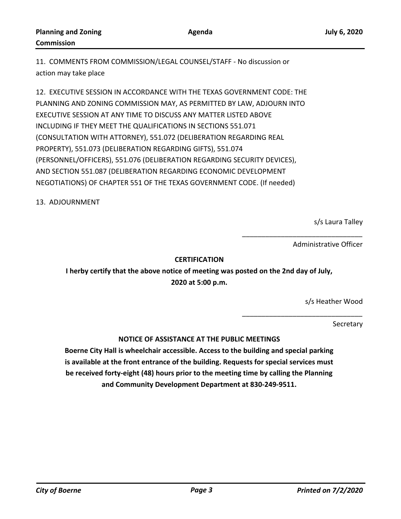**Agenda**

11. COMMENTS FROM COMMISSION/LEGAL COUNSEL/STAFF - No discussion or action may take place

12. EXECUTIVE SESSION IN ACCORDANCE WITH THE TEXAS GOVERNMENT CODE: THE PLANNING AND ZONING COMMISSION MAY, AS PERMITTED BY LAW, ADJOURN INTO EXECUTIVE SESSION AT ANY TIME TO DISCUSS ANY MATTER LISTED ABOVE INCLUDING IF THEY MEET THE QUALIFICATIONS IN SECTIONS 551.071 (CONSULTATION WITH ATTORNEY), 551.072 (DELIBERATION REGARDING REAL PROPERTY), 551.073 (DELIBERATION REGARDING GIFTS), 551.074 (PERSONNEL/OFFICERS), 551.076 (DELIBERATION REGARDING SECURITY DEVICES), AND SECTION 551.087 (DELIBERATION REGARDING ECONOMIC DEVELOPMENT NEGOTIATIONS) OF CHAPTER 551 OF THE TEXAS GOVERNMENT CODE. (If needed)

13. ADJOURNMENT

s/s Laura Talley

Administrative Officer

\_\_\_\_\_\_\_\_\_\_\_\_\_\_\_\_\_\_\_\_\_\_\_\_\_\_\_\_\_\_\_

\_\_\_\_\_\_\_\_\_\_\_\_\_\_\_\_\_\_\_\_\_\_\_\_\_\_\_\_\_\_\_

#### **CERTIFICATION**

**I herby certify that the above notice of meeting was posted on the 2nd day of July, 2020 at 5:00 p.m.**

s/s Heather Wood

Secretary

**NOTICE OF ASSISTANCE AT THE PUBLIC MEETINGS**

**Boerne City Hall is wheelchair accessible. Access to the building and special parking is available at the front entrance of the building. Requests for special services must be received forty-eight (48) hours prior to the meeting time by calling the Planning and Community Development Department at 830-249-9511.**